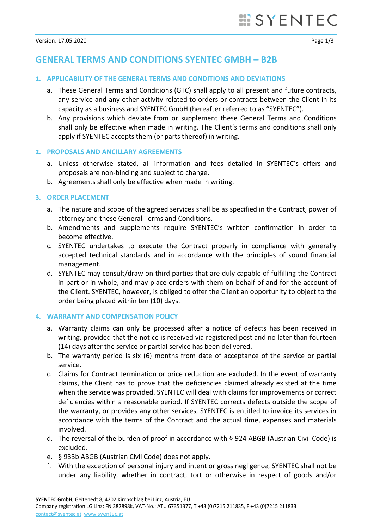# **GENERAL TERMS AND CONDITIONS SYENTEC GMBH – B2B**

### **1. APPLICABILITY OF THE GENERAL TERMS AND CONDITIONS AND DEVIATIONS**

- a. These General Terms and Conditions (GTC) shall apply to all present and future contracts, any service and any other activity related to orders or contracts between the Client in its capacity as a business and SYENTEC GmbH (hereafter referred to as "SYENTEC").
- b. Any provisions which deviate from or supplement these General Terms and Conditions shall only be effective when made in writing. The Client's terms and conditions shall only apply if SYENTEC accepts them (or parts thereof) in writing.

#### **2. PROPOSALS AND ANCILLARY AGREEMENTS**

- a. Unless otherwise stated, all information and fees detailed in SYENTEC's offers and proposals are non-binding and subject to change.
- b. Agreements shall only be effective when made in writing.

## **3. ORDER PLACEMENT**

- a. The nature and scope of the agreed services shall be as specified in the Contract, power of attorney and these General Terms and Conditions.
- b. Amendments and supplements require SYENTEC's written confirmation in order to become effective.
- c. SYENTEC undertakes to execute the Contract properly in compliance with generally accepted technical standards and in accordance with the principles of sound financial management.
- d. SYENTEC may consult/draw on third parties that are duly capable of fulfilling the Contract in part or in whole, and may place orders with them on behalf of and for the account of the Client. SYENTEC, however, is obliged to offer the Client an opportunity to object to the order being placed within ten (10) days.

#### **4. WARRANTY AND COMPENSATION POLICY**

- a. Warranty claims can only be processed after a notice of defects has been received in writing, provided that the notice is received via registered post and no later than fourteen (14) days after the service or partial service has been delivered.
- b. The warranty period is six (6) months from date of acceptance of the service or partial service.
- c. Claims for Contract termination or price reduction are excluded. In the event of warranty claims, the Client has to prove that the deficiencies claimed already existed at the time when the service was provided. SYENTEC will deal with claims for improvements or correct deficiencies within a reasonable period. If SYENTEC corrects defects outside the scope of the warranty, or provides any other services, SYENTEC is entitled to invoice its services in accordance with the terms of the Contract and the actual time, expenses and materials involved.
- d. The reversal of the burden of proof in accordance with § 924 ABGB (Austrian Civil Code) is excluded.
- e. § 933b ABGB (Austrian Civil Code) does not apply.
- f. With the exception of personal injury and intent or gross negligence, SYENTEC shall not be under any liability, whether in contract, tort or otherwise in respect of goods and/or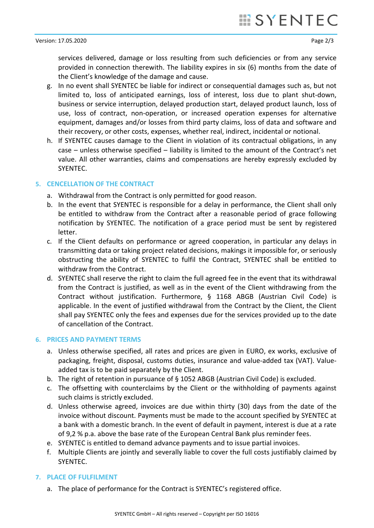services delivered, damage or loss resulting from such deficiencies or from any service provided in connection therewith. The liability expires in six (6) months from the date of the Client's knowledge of the damage and cause.

- g. In no event shall SYENTEC be liable for indirect or consequential damages such as, but not limited to, loss of anticipated earnings, loss of interest, loss due to plant shut-down, business or service interruption, delayed production start, delayed product launch, loss of use, loss of contract, non-operation, or increased operation expenses for alternative equipment, damages and/or losses from third party claims, loss of data and software and their recovery, or other costs, expenses, whether real, indirect, incidental or notional.
- h. If SYENTEC causes damage to the Client in violation of its contractual obligations, in any case – unless otherwise specified – liability is limited to the amount of the Contract's net value. All other warranties, claims and compensations are hereby expressly excluded by SYENTEC.

## **5. CENCELLATION OF THE CONTRACT**

- a. Withdrawal from the Contract is only permitted for good reason.
- b. In the event that SYENTEC is responsible for a delay in performance, the Client shall only be entitled to withdraw from the Contract after a reasonable period of grace following notification by SYENTEC. The notification of a grace period must be sent by registered letter.
- c. If the Client defaults on performance or agreed cooperation, in particular any delays in transmitting data or taking project related decisions, makings it impossible for, or seriously obstructing the ability of SYENTEC to fulfil the Contract, SYENTEC shall be entitled to withdraw from the Contract.
- d. SYENTEC shall reserve the right to claim the full agreed fee in the event that its withdrawal from the Contract is justified, as well as in the event of the Client withdrawing from the Contract without justification. Furthermore, § 1168 ABGB (Austrian Civil Code) is applicable. In the event of justified withdrawal from the Contract by the Client, the Client shall pay SYENTEC only the fees and expenses due for the services provided up to the date of cancellation of the Contract.

#### **6. PRICES AND PAYMENT TERMS**

- a. Unless otherwise specified, all rates and prices are given in EURO, ex works, exclusive of packaging, freight, disposal, customs duties, insurance and value-added tax (VAT). Valueadded tax is to be paid separately by the Client.
- b. The right of retention in pursuance of § 1052 ABGB (Austrian Civil Code) is excluded.
- c. The offsetting with counterclaims by the Client or the withholding of payments against such claims is strictly excluded.
- d. Unless otherwise agreed, invoices are due within thirty (30) days from the date of the invoice without discount. Payments must be made to the account specified by SYENTEC at a bank with a domestic branch. In the event of default in payment, interest is due at a rate of 9,2 % p.a. above the base rate of the European Central Bank plus reminder fees.
- e. SYENTEC is entitled to demand advance payments and to issue partial invoices.
- f. Multiple Clients are jointly and severally liable to cover the full costs justifiably claimed by SYENTEC.

#### **7. PLACE OF FULFILMENT**

a. The place of performance for the Contract is SYENTEC's registered office.